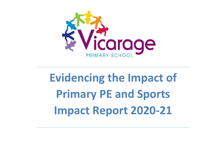

## **Evidencing the Impact of Primary PE and Sports Impact Report 2020-21**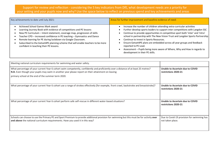## Support for review and reflection - considering the 5 key indicators from DfE, what development needs are a priority for your setting and your pupils now and why? Use the space below to reflect on previous spend and key achievements and areas

| Key achievements to date until July 2021:                                                                                                                                                                                                                                                                                                                                                                                                                      | Areas for further improvement and baseline evidence of need:                                                                                                                                                                                                                                                                                                                                                                                                                                                                                                                             |
|----------------------------------------------------------------------------------------------------------------------------------------------------------------------------------------------------------------------------------------------------------------------------------------------------------------------------------------------------------------------------------------------------------------------------------------------------------------|------------------------------------------------------------------------------------------------------------------------------------------------------------------------------------------------------------------------------------------------------------------------------------------------------------------------------------------------------------------------------------------------------------------------------------------------------------------------------------------------------------------------------------------------------------------------------------------|
| Achieved School Games Mark award<br>Learning Journey Book with evidence of competitions and PE lessons<br>New PE Curriculum - Intent statement, coverage map, progression of skills<br>Teacher CPD - increased confidence in PE teaching - Gymnastics and Dance<br>Remote learning for PE during lockdown via Google Classroom.<br>Subscribed to the Getset4PE planning scheme that will enable teachers to be more<br>confident in teaching their PE lessons. | Increase the number of children attending extra-curricular activities<br>Further develop sports leaders to support inter competitions with Langdon SSC<br>Continue to provide opportunities in competitive sport both 'inter' and 'intra'<br>school in partnership with The New Vision Trust and Langdon Sports Partnership<br>Continue to invest in Sports Resources.<br>Ensure Getset4PE plans are embedded across all year groups and feedback<br>reported to PE Lead.<br>Assessment - Pupils being more aware of Where, Why and How in regards to<br>development in their PE skills. |

| Meeting national curriculum requirements for swimming and water safety.                                                                                                                                                                                                                         |                                                                |
|-------------------------------------------------------------------------------------------------------------------------------------------------------------------------------------------------------------------------------------------------------------------------------------------------|----------------------------------------------------------------|
| What percentage of your current Year 6 cohort swim competently, confidently and proficiently over a distance of at least 25 metres?<br>N.B. Even though your pupils may swim in another year please report on their attainment on leaving<br>primary school at the end of the summer term 2020. | Unable to Ascertain due to COVID<br>restrictions 2020-21       |
| What percentage of your current Year 6 cohort use a range of strokes effectively [for example, front crawl, backstroke and breaststroke]?                                                                                                                                                       | Unable to Ascertain due to COVID<br>restrictions 2020-21       |
| What percentage of your current Year 6 cohort perform safe self-rescue in different water-based situations?                                                                                                                                                                                     | Unable to Ascertain due to COVID<br>restrictions 2020-21       |
| Schools can choose to use the Primary PE and Sport Premium to provide additional provision for swimming but this must be for activity over<br>and above the national curriculum requirements. Have you used it in this way?                                                                     | Due to Covid-19 provision for swimming has<br>not taken place. |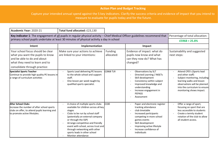## **Action Plan and Budget Tracking**

Capture your intended annual spend against the 5 key indicators. Clarify the success criteria and evidence of impact that you intend to measure to evaluate for pupils today and for the future.

| Academic Year: 2020-21                                                                                                                                                  | Total fund allocated: £23,130                                                                                                                                                                                                                                                                                                                                  |                       |                                                                                                                                                                                                                                          |                                                                                                                                                                                                          |
|-------------------------------------------------------------------------------------------------------------------------------------------------------------------------|----------------------------------------------------------------------------------------------------------------------------------------------------------------------------------------------------------------------------------------------------------------------------------------------------------------------------------------------------------------|-----------------------|------------------------------------------------------------------------------------------------------------------------------------------------------------------------------------------------------------------------------------------|----------------------------------------------------------------------------------------------------------------------------------------------------------------------------------------------------------|
| Key indicator 1: The engagement of all pupils in regular physical activity - Chief Medical Officer guidelines recommend that                                            |                                                                                                                                                                                                                                                                                                                                                                |                       |                                                                                                                                                                                                                                          | Percentage of total allocation:                                                                                                                                                                          |
| primary school pupils undertake at least 30 minutes of physical activity a day in school                                                                                |                                                                                                                                                                                                                                                                                                                                                                |                       |                                                                                                                                                                                                                                          | $£5968 = 25.8%$                                                                                                                                                                                          |
| Intent                                                                                                                                                                  | Implementation                                                                                                                                                                                                                                                                                                                                                 |                       | Impact                                                                                                                                                                                                                                   |                                                                                                                                                                                                          |
| Your school focus should be clear<br>what you want the pupils to know<br>and be able to do and about<br>what they need to learn and to<br>consolidate through practice: | Make sure your actions to achieve<br>are linked to your intentions:                                                                                                                                                                                                                                                                                            | Funding<br>allocated: | Evidence of impact: what do<br>pupils now know and what<br>can they now do? What has<br>changed?                                                                                                                                         | Sustainability and suggested<br>next steps:                                                                                                                                                              |
| <b>Specialist Sports Teacher</b><br>Continue to provide high quality PE lessons in<br>a range of curriculum activities                                                  | Sports Lead delivering PE lessons<br>to the whole school and support<br>staff.<br>One lesson per week taught by<br>qualified sports specialist.                                                                                                                                                                                                                | £2868 TLR             | Observations by SLT<br>Directed Learning / INSETs<br>Skill development<br>Consistency within subject<br>Improved knowledge and<br>understanding<br>Increase engagement in<br><b>PEPASS</b><br>Assessment                                 | Attend CPD's (Sports lead<br>and other staff)<br>Subject monitoring, including<br>learning walks and lesson<br>observations will be planned<br>into the curriculum to ensure<br>monitoring shows impact. |
| <b>After School Clubs</b><br>Increase the number of after school sports<br>clubs on offer, to attend pupils learning and<br>to promote active lifestyles.               | A choice of multiple sports clubs<br>available for children across all key<br>stages<br>Clubs to be run by school staff<br>$\sim$<br>(potentially an external company<br>or through the SSP)<br>Arrange competitive and friendly<br>event with school, across trust and<br>through networking with other<br>sports leads in other school<br>Monitor attendance | £100                  | Paper and electronic register<br>tracking attendance<br>club timetable<br>Increased participants<br>competing in more school<br>games events<br>Skill development<br>Improving active lifestyle<br>Increase confidence of<br>individuals | Offer a range of sport,<br>focusing on sport that are<br>less accessible to students<br>Create a termly student<br>rotation of the club to allow<br>all student access.                                  |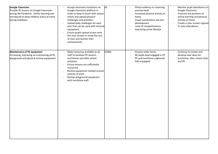| Google Classroom<br>Provide PE lessons on Google Classroom<br>during the Pandemic. Online learning was<br>introduced to keep children active at home<br>during lockdown. | Accept classroom invitations on<br>Google classroom platform in<br>order to keep in touch with classes<br>online and upload physical<br>challenges and activities.<br>Upload daily challenges for each<br>year that can be used with minimal<br>equipment.<br>Ensure pupils upload scores onto<br>$\blacksquare$<br>the class stream to show the rest<br>of class and teacher their<br>achievements. | £0    | Photo evidence in a learning<br>journey book.<br>Increased physical activity at<br>home.<br>Visual coordination aid and<br>$\sim$<br>development.<br>Level of competitiveness<br>Improving active lifestyle | Monitor pupil attendance on<br>Google Classroom.<br>Promote the positives of<br>online learning and physical<br>activity at home.<br>Create a class stream register<br>to note attendance. |
|--------------------------------------------------------------------------------------------------------------------------------------------------------------------------|------------------------------------------------------------------------------------------------------------------------------------------------------------------------------------------------------------------------------------------------------------------------------------------------------------------------------------------------------------------------------------------------------|-------|-------------------------------------------------------------------------------------------------------------------------------------------------------------------------------------------------------------|--------------------------------------------------------------------------------------------------------------------------------------------------------------------------------------------|
| Maintenance of PE equipment<br>Increasing, improving an maintaining all PE,<br>playground and physical activity equipment.                                               | Make resources available to all<br>staff to facilitate PE lessons,<br>lunchtimes and after school<br>activities.<br>Ensure lessons are sufficiently<br>$\overline{\phantom{a}}$<br>resourced.<br>Review equipment needed around<br>$\overline{\phantom{a}}$<br>scheme of work.<br>Review playground equipment<br>$\overline{\phantom{a}}$<br>with lunchtime staff.                                   | £3000 | Finance order forms<br>All pupils kept engaged in PE<br>PE and lunchtime cupboards<br>fully equipped.                                                                                                       | Continue to review and<br>develop new ideas for<br>lunchtime, after school clubs<br>and PE.                                                                                                |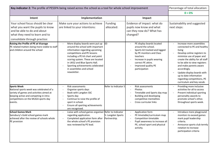| Key indicator 2: The profile of PESSPA being raised across the school as a tool for whole school improvement                                                                                           |                                                                                                                                                                                                                                                                                                                                                                        |                       |                                                                                                                                                                                                                      | Percentage of total allocation:                                                                                                                                                                                                                                                                                                                                |
|--------------------------------------------------------------------------------------------------------------------------------------------------------------------------------------------------------|------------------------------------------------------------------------------------------------------------------------------------------------------------------------------------------------------------------------------------------------------------------------------------------------------------------------------------------------------------------------|-----------------------|----------------------------------------------------------------------------------------------------------------------------------------------------------------------------------------------------------------------|----------------------------------------------------------------------------------------------------------------------------------------------------------------------------------------------------------------------------------------------------------------------------------------------------------------------------------------------------------------|
|                                                                                                                                                                                                        |                                                                                                                                                                                                                                                                                                                                                                        |                       |                                                                                                                                                                                                                      | $0 = 0%$                                                                                                                                                                                                                                                                                                                                                       |
| Intent                                                                                                                                                                                                 | Implementation                                                                                                                                                                                                                                                                                                                                                         |                       | Impact                                                                                                                                                                                                               |                                                                                                                                                                                                                                                                                                                                                                |
| Your school focus should be clear<br>what you want the pupils to know<br>and be able to do and about<br>what they need to learn and to<br>consolidate through practice:                                | Make sure your actions to achieve<br>are linked to your intentions:                                                                                                                                                                                                                                                                                                    | Funding<br>allocated: | Evidence of impact: what do<br>pupils now know and what<br>can they now do? What has<br>changed?                                                                                                                     | Sustainability and suggested<br>next steps:                                                                                                                                                                                                                                                                                                                    |
| Raising the Profile of PE at Vicarage<br>PE related matters being more visible to staff<br>and children around the school                                                                              | More display boards were put up<br>around the school with important<br>information regarding upcoming<br>competitions and PE lessons<br>including a PE kit chart and point<br>scoring system. These are located<br>in UKS2 and Blue Sports Hall.<br>Sporting achievements celebrated<br>in assemblies and school<br>newsletter.                                        | E <sub>0</sub>        | PE display boards located<br>around the school.<br>Sports kit tracked and logged<br>by PE monitors and Class<br>teachers<br>Increase in pupils wearing<br>correct PE attire.<br>Improved quality PE<br>participation | Increase more assemblies<br>connected to PE and healthy<br>living<br>Develop online registers to<br>minimize use of paper and<br>create the ability for all staff<br>to be able to view registers<br>and make parents aware<br>accordingly.<br>Update display boards with<br>up to date information<br>regarding competitions, PE<br>curriculum and key vocab. |
| <b>Sports Week</b><br>National sports week was celebrated of a<br>variety of games and activities aimed at<br>keeping active and competing in intra<br>competitions on the MUGA sports day<br>levents. | Risk assessments<br>$\overline{\phantom{a}}$<br>Organise sports days<br>$\overline{\phantom{a}}$<br>Book with Langdon SSC<br>$\overline{\phantom{a}}$<br>Sports day<br>$\overline{\phantom{a}}$<br>Continue to raise the profile of<br>$\overline{\phantom{a}}$<br>sport in school.<br>Ensure all sporting achievements<br>$\overline{\phantom{a}}$<br>are recognised. | Refer to Indicator 5  | Risk assessments<br><b>Photos</b><br>Timetable and Sports day map<br><b>Building and developing</b><br>competitive mentalities<br>Cross curricular links                                                             | Providing more inclusive<br>activities for all to access<br>Present individual sporting<br>personality awards to<br>promote school's ethos<br>throughout sports week.                                                                                                                                                                                          |
| <b>School Games Mark</b><br>Sainsbury's Gold school games mark<br>achieved after the review of schools whole<br>PE provision                                                                           | Liaise with school games organiser Refer to Indicator<br>regarding application.<br>Completed application form after Partnership.<br>the whole school's PE provision<br>was reviewed by PE lead.                                                                                                                                                                        | 5: Langdon Sports     | Application form<br>PE timetable/curriculum map<br>Competition timetable<br>Pupil awareness to increase all<br>PE, school sport and physical<br>activity.                                                            | Introduce more playground<br>monitors to exceed games<br>mark pupil leadership<br>criteria.<br>Announce sports club termly<br>rotation to increase<br>participation criteria                                                                                                                                                                                   |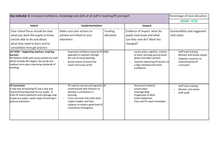| Key indicator 3: Increased confidence, knowledge and skills of all staff in teaching PE and sport                                                                                                                                  |                                                                                                                                                                                                                                                                                                  |                       |                                                                                                                                                                                | Percentage of total allocation:                                                                              |
|------------------------------------------------------------------------------------------------------------------------------------------------------------------------------------------------------------------------------------|--------------------------------------------------------------------------------------------------------------------------------------------------------------------------------------------------------------------------------------------------------------------------------------------------|-----------------------|--------------------------------------------------------------------------------------------------------------------------------------------------------------------------------|--------------------------------------------------------------------------------------------------------------|
|                                                                                                                                                                                                                                    | $£2100 = 9.1%$                                                                                                                                                                                                                                                                                   |                       |                                                                                                                                                                                |                                                                                                              |
| Intent                                                                                                                                                                                                                             | Implementation                                                                                                                                                                                                                                                                                   |                       | Impact                                                                                                                                                                         |                                                                                                              |
| Your school focus should be clear<br>what you want the pupils to know<br>and be able to do and about<br>what they need to learn and to<br>consolidate through practice:                                                            | Make sure your actions to<br>achieve are linked to your<br>intentions:                                                                                                                                                                                                                           | Funding<br>allocated: | Evidence of impact: what do<br>pupils now know and what<br>can they now do? What has<br>changed?                                                                               | Sustainability and suggested<br>next steps:                                                                  |
| LCP SOW - Supporting teachers, inspiring<br>llearners<br>PE Platform SOW with visual content for staff<br>which includes NC targets, key vocab and<br>medium term plans improving standards of<br>teaching.                        | Improved confidence towards PE £600<br>approach in teachers through<br>the use of visual planning.<br>Broad scheme of work that<br>$\overline{\phantom{a}}$<br>covers all 6 areas of NC                                                                                                          |                       | Lesson plans, registers, scheme<br>of work, learning journey book,<br>photo and video content.<br>Teachers delivering PE lessons to<br>a high standard with more<br>confidence | Staff inset training<br>Monitor and review impact<br>Organise resources to<br>match/improve PE<br>curriculum |
| <b>PE Curriculum</b><br>A new way of teaching PE and a new and<br>improved learning style for our pupils. A<br>fresh PE intent statement and coverage map<br>to give our pupils a wide range of learning in<br>physical education. | PE Lead to oversee and regularly $E_0$<br>$\overline{\phantom{a}}$<br>communicate with teachers to<br>develop a consistency in<br>learning.<br>Cross curricular links with other<br>$\blacksquare$<br>subject leaders and their<br>subjects to create a good level of<br>consistency throughout. |                       | Document evidence<br>Lesson plans<br>Coverage Map<br>Progression of Skills<br><b>Intent Statement</b><br>Class and PE coach timetables                                         | Staff inset training<br>Monitor and review<br>Staff audit                                                    |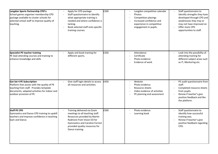| Langdon Sports Partnership CPD's:<br>School games organiser membership CPD<br>package available to cluster schools for<br>selected school staff to improve quality of<br>teaching.              | Apply for CPD package<br>$\overline{\phantom{a}}$<br>Staff questionnaire to identify<br>what appropriate training is<br>needed and where confidence is<br>lacking.<br>Book selected staff onto specific<br>training courses.          | £200 | Langdon competition calendar<br>Photos<br>Competition placings<br>Increased confidence and<br>experience in competitive<br>engagement in pupils. | Staff questionnaire to<br>identify strengths they have<br>developed through CPD and<br>weaknesses they may or<br>may not have improved on<br>Offer more CPD<br>opportunities to staff. |
|-------------------------------------------------------------------------------------------------------------------------------------------------------------------------------------------------|---------------------------------------------------------------------------------------------------------------------------------------------------------------------------------------------------------------------------------------|------|--------------------------------------------------------------------------------------------------------------------------------------------------|----------------------------------------------------------------------------------------------------------------------------------------------------------------------------------------|
| Specialist PE teacher training<br>PE lead attending courses and training to<br>enhance knowledge and skills                                                                                     | Apply and book training for<br>$\overline{\phantom{a}}$<br>different sports.                                                                                                                                                          | £350 | Attendance<br>$\blacksquare$<br>Certificate<br>Photo evidence<br>Evidence of work                                                                | Look into the possibility of<br>attending training for<br>different subject areas such<br>as IT, Mentoring etc.                                                                        |
| Get Set 4 PE Subscription<br>Platform that assists with the quality of PE<br>teaching from staff. Provides template<br>documents, adapted activities for indoor and<br>outdoor provision of PE. | Give staff login details to access<br>$\overline{\phantom{a}}$<br>all resources and activities.                                                                                                                                       | £450 | Website<br>$\overline{\phantom{a}}$<br>Photo evidence<br>Resource sheets<br>Video evidence of activities<br>PE planning and assessment           | PE audit questionnaire from<br>staff.<br>Completed resource sheets<br>from pupils.<br>Renew if teacher's give<br>positive feedback and like<br>the platform.                           |
| Staff PE CPD<br>Gymnastics and Dance CPD training to upskill<br>teachers and improve confidence in teaching<br>Gym and Dance.                                                                   | Training delivered via Zoom<br>$\sim$<br>meetings to all teaching staff.<br>Resources provided by Martin<br>Radmore from Vision ED for<br><b>Gymnastics and Caroline Forrest</b><br>provided quality resources for<br>Dance training. | £500 | Photo evidence<br>Learning book                                                                                                                  | Staff questionnaire to<br>identify how successful<br>training was.<br>Renew if teacher's give<br>positive feedback regarding<br>CPD.                                                   |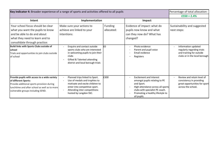| Key indicator 4: Broader experience of a range of sports and activities offered to all pupils                                                                                                            |                                                                                                                                                                                                                           |                              |                                                                                                                                                                                                          | Percentage of total allocation:<br>$£550 = 2.4%$                                                               |
|----------------------------------------------------------------------------------------------------------------------------------------------------------------------------------------------------------|---------------------------------------------------------------------------------------------------------------------------------------------------------------------------------------------------------------------------|------------------------------|----------------------------------------------------------------------------------------------------------------------------------------------------------------------------------------------------------|----------------------------------------------------------------------------------------------------------------|
| Intent                                                                                                                                                                                                   | Implementation                                                                                                                                                                                                            |                              | Impact                                                                                                                                                                                                   |                                                                                                                |
| Your school focus should be clear<br>what you want the pupils to know<br>and be able to do and about<br>what they need to learn and to<br>consolidate through practice:                                  | Make sure your actions to<br>achieve are linked to your<br>intentions:                                                                                                                                                    | <b>Funding</b><br>allocated: | Evidence of impact: what do<br>pupils now know and what<br>can they now do? What has<br>changed?                                                                                                         | Sustainability and suggested<br>next steps:                                                                    |
| Build links with Sports Clubs outside of<br><b>school</b><br>Trials and opportunities to join clubs outside<br>of school                                                                                 | Enquire and contact outside<br>sports clubs who are interested<br>in welcoming pupils to join their<br>clubs<br>Gifted & Talented attending<br>district and local borough trials                                          | l£0                          | Photo evidence<br>Parent and pupil voice<br>Email evidence<br>Registers                                                                                                                                  | Information updated<br>regularly regarding trials<br>and training for outside<br>clubs or in the local borough |
| Provide pupils with access to a wide variety<br>of different Sports:<br>Provide additional sports provision during<br>lunchtime and after school as well as to more<br>vulnerable groups including SEND. | Planned trips linked to Sport.<br>$\overline{\phantom{a}}$<br>Use of medals and trophies to<br>motivate and excite children to<br>enter into competitive sport.<br>Attending inter competitions<br>hosted by Langdon SSC. | £300                         | <b>Excitement and interest</b><br>amongst pupils relating to PE<br>and Sport.<br>High attendance across all sports<br>clubs with specialist PE coach.<br>Promoting a healthy lifestyle to<br>all pupils. | Review and retain level of<br>consistency in providing<br>great opportunities for sport<br>across the school.  |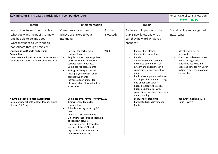| Key indicator 5: Increased participation in competitive sport                                                                                                           |                                                                                                                                                                                                                                                                                                                                                                                                                                   |                       | Percentage of total allocation:                                                                                                                                                                                                                                                                                                                                                                                |                                                                                                                                                                                                  |
|-------------------------------------------------------------------------------------------------------------------------------------------------------------------------|-----------------------------------------------------------------------------------------------------------------------------------------------------------------------------------------------------------------------------------------------------------------------------------------------------------------------------------------------------------------------------------------------------------------------------------|-----------------------|----------------------------------------------------------------------------------------------------------------------------------------------------------------------------------------------------------------------------------------------------------------------------------------------------------------------------------------------------------------------------------------------------------------|--------------------------------------------------------------------------------------------------------------------------------------------------------------------------------------------------|
|                                                                                                                                                                         |                                                                                                                                                                                                                                                                                                                                                                                                                                   |                       |                                                                                                                                                                                                                                                                                                                                                                                                                | $£2375 = 10.3%$                                                                                                                                                                                  |
| Intent                                                                                                                                                                  | Implementation                                                                                                                                                                                                                                                                                                                                                                                                                    |                       | Impact                                                                                                                                                                                                                                                                                                                                                                                                         |                                                                                                                                                                                                  |
| Your school focus should be clear<br>what you want the pupils to know<br>and be able to do and about<br>what they need to learn and to<br>consolidate through practice: | Make sure your actions to<br>achieve are linked to your<br>intentions:                                                                                                                                                                                                                                                                                                                                                            | Funding<br>allocated: | Evidence of impact: what do<br>pupils now know and what<br>can they now do? What has<br>changed?                                                                                                                                                                                                                                                                                                               | Sustainability and suggested<br>next steps:                                                                                                                                                      |
| Langdon School Sports Partnership<br>Competitions:<br>Weekly competitive inter sports tournaments<br>for years 1-6 across the whole academic year                       | Register for partnership<br>competition events<br>Regular school cover organised<br>$\sim$<br>by SLT & PE lead for weekly<br>competition attendance.<br>Complete risk assessments<br>$\overline{\phantom{a}}$<br>Train/prepare sports teams<br>(multiple year groups) prior<br>competitive events<br>Increase opportunities for<br>physical activity throughout the<br>school day.                                                | £2160                 | Competition placings<br>Competition entry forms<br>Emails<br>Completed risk assessment<br>Increased confidence, self-<br>esteem and experience in a<br>competitive environment for<br>pupils.<br>Pupils showing more resilience<br>in competitions demonstrating<br>one of our core values<br>Pupils developing key skills.<br>Pupils being familiar with<br>competitive sport and improving<br>understanding. | Membership will be<br>renewed<br>Continue to develop sports<br>teams through clubs,<br>lunchtime activities and<br>allocated time for Mr Griffin<br>to train teams for upcoming<br>competitions. |
| Newham Schools Football Association:<br>Borough wide schools football leagues aimed<br>at years 5 & 6 pupils                                                            | Complete entry forms for events. £15<br>$\sim$<br>Train/prepare teams for<br>$\blacksquare$<br>competition<br>School cover organised by SLT<br>$\overline{\phantom{a}}$<br>team<br>Complete risk assessments<br>$\overline{\phantom{a}}$<br>Link after school club to coaching<br>of specialist players<br>Liaise with other PE leads that<br>are part of the NSFA and<br>organise competitive matches<br>and also friendlies too |                       | League table standings<br>Completed risk assessments<br>Photos                                                                                                                                                                                                                                                                                                                                                 | Renew membership with<br>Linda Flowers                                                                                                                                                           |